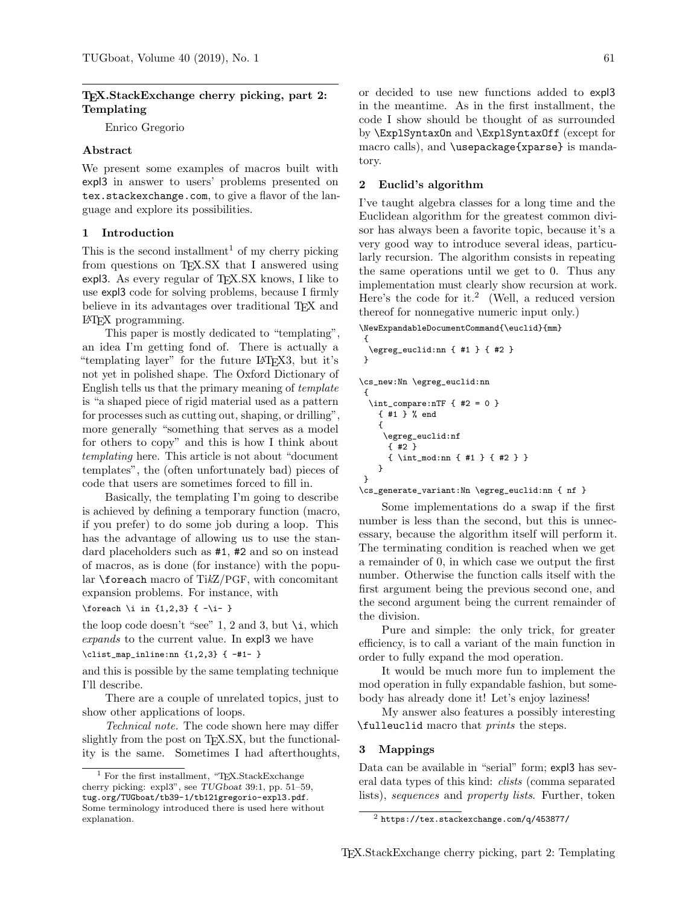# TEX.StackExchange cherry picking, part 2: Templating

Enrico Gregorio

## Abstract

We present some examples of macros built with expl3 in answer to users' problems presented on tex.stackexchange.com, to give a flavor of the language and explore its possibilities.

## 1 Introduction

This is the second installment<sup>1</sup> of my cherry picking from questions on T<sub>EX</sub>.SX that I answered using expl3. As every regular of  $T_F X.S X$  knows, I like to use expl3 code for solving problems, because I firmly believe in its advantages over traditional T<sub>E</sub>X and LATEX programming.

This paper is mostly dedicated to "templating", an idea I'm getting fond of. There is actually a "templating layer" for the future LATEX3, but it's not yet in polished shape. The Oxford Dictionary of English tells us that the primary meaning of template is "a shaped piece of rigid material used as a pattern for processes such as cutting out, shaping, or drilling", more generally "something that serves as a model for others to copy" and this is how I think about templating here. This article is not about "document templates", the (often unfortunately bad) pieces of code that users are sometimes forced to fill in.

Basically, the templating I'm going to describe is achieved by defining a temporary function (macro, if you prefer) to do some job during a loop. This has the advantage of allowing us to use the standard placeholders such as #1, #2 and so on instead of macros, as is done (for instance) with the popular \foreach macro of TikZ/PGF, with concomitant expansion problems. For instance, with

\foreach \i in  $\{1,2,3\}$  { -\i- }

the loop code doesn't "see" 1, 2 and 3, but  $\iota$ , which expands to the current value. In expl3 we have

\clist\_map\_inline:nn {1,2,3} { -#1- }

and this is possible by the same templating technique I'll describe.

There are a couple of unrelated topics, just to show other applications of loops.

Technical note. The code shown here may differ slightly from the post on T<sub>EX</sub>.SX, but the functionality is the same. Sometimes I had afterthoughts,

or decided to use new functions added to expl3 in the meantime. As in the first installment, the code I show should be thought of as surrounded by \ExplSyntaxOn and \ExplSyntaxOff (except for macro calls), and \usepackage{xparse} is mandatory.

## 2 Euclid's algorithm

I've taught algebra classes for a long time and the Euclidean algorithm for the greatest common divisor has always been a favorite topic, because it's a very good way to introduce several ideas, particularly recursion. The algorithm consists in repeating the same operations until we get to 0. Thus any implementation must clearly show recursion at work. Here's the code for it.<sup>2</sup> (Well, a reduced version thereof for nonnegative numeric input only.)

\NewExpandableDocumentCommand{\euclid}{mm}

```
{
  \egreg_euclid:nn { #1 } { #2 }
}
\cs_new:Nn \egreg_euclid:nn
 {
  \int_compare:nTF { #2 = 0 }
   { #1 } % end
    {
     \egreg_euclid:nf
     { #2 }
      { \int_mod:nn { #1 } { #2 } }
   }
}
\cs_generate_variant:Nn \egreg_euclid:nn { nf }
```
Some implementations do a swap if the first number is less than the second, but this is unnecessary, because the algorithm itself will perform it. The terminating condition is reached when we get a remainder of 0, in which case we output the first number. Otherwise the function calls itself with the first argument being the previous second one, and the second argument being the current remainder of the division.

Pure and simple: the only trick, for greater efficiency, is to call a variant of the main function in order to fully expand the mod operation.

It would be much more fun to implement the mod operation in fully expandable fashion, but somebody has already done it! Let's enjoy laziness!

My answer also features a possibly interesting \fulleuclid macro that prints the steps.

#### 3 Mappings

Data can be available in "serial" form; expl3 has several data types of this kind: clists (comma separated lists), sequences and property lists. Further, token

<sup>&</sup>lt;sup>1</sup> For the first installment, "TEX.StackExchange" cherry picking: expl3", see TUGboat 39:1, pp. 51–59, tug.org/TUGboat/tb39-1/tb121gregorio-expl3.pdf. Some terminology introduced there is used here without explanation.

 $2$  https://tex.stackexchange.com/q/453877/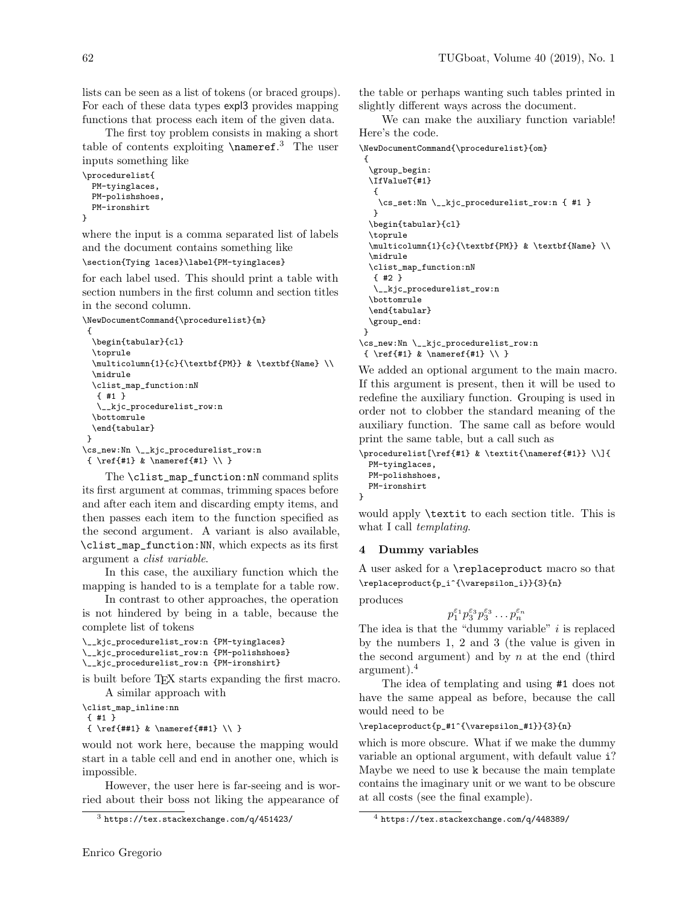lists can be seen as a list of tokens (or braced groups). For each of these data types expl3 provides mapping functions that process each item of the given data.

The first toy problem consists in making a short table of contents exploiting \nameref. <sup>3</sup> The user inputs something like

```
\procedurelist{
 PM-tyinglaces,
  PM-polishshoes,
 PM-ironshirt
}
```
where the input is a comma separated list of labels and the document contains something like

```
\section{Tying laces}\label{PM-tyinglaces}
```
for each label used. This should print a table with section numbers in the first column and section titles in the second column.

```
\NewDocumentCommand{\procedurelist}{m}
 {
 \begin{tabular}{cl}
 \toprule
  \multicolumn{1}{c}{\textbf{PM}} & \textbf{Name} \\
  \midrule
 \clist_map_function:nN
  { #1 }
  \__kjc_procedurelist_row:n
  \bottomrule
  \end{tabular}
}
\cs_new:Nn \__kjc_procedurelist_row:n
{ \ref{#1} & \nameref{#1} \\ }
```
The \clist\_map\_function:nN command splits its first argument at commas, trimming spaces before and after each item and discarding empty items, and then passes each item to the function specified as the second argument. A variant is also available, \clist\_map\_function:NN, which expects as its first argument a clist variable.

In this case, the auxiliary function which the mapping is handed to is a template for a table row.

In contrast to other approaches, the operation is not hindered by being in a table, because the complete list of tokens

```
\__kjc_procedurelist_row:n {PM-tyinglaces}
\__kjc_procedurelist_row:n {PM-polishshoes}
\__kjc_procedurelist_row:n {PM-ironshirt}
```
is built before TEX starts expanding the first macro. A similar approach with

\clist\_map\_inline:nn { #1 }

 $\{\ \ref{#1} & \nameref{#1} \\\}$ 

would not work here, because the mapping would start in a table cell and end in another one, which is impossible.

However, the user here is far-seeing and is worried about their boss not liking the appearance of

the table or perhaps wanting such tables printed in slightly different ways across the document.

We can make the auxiliary function variable! Here's the code.

```
\NewDocumentCommand{\procedurelist}{om}
```

```
{
  \group_begin:
  \IfValueT{#1}
  {
    \cs_set:Nn \__kjc_procedurelist_row:n { #1 }
  }
  \begin{tabular}{cl}
  \toprule
  \multicolumn{1}{c}{\textbf{PM}} & \textbf{Name} \\
  \midrule
  \clist_map_function:nN
  { #2 }
   \__kjc_procedurelist_row:n
  \bottomrule
  \end{tabular}
  \group_end:
}
\cs_new:Nn \__kjc_procedurelist_row:n
{ \ref{#1} & \nameref{#1} \\ }
```
We added an optional argument to the main macro. If this argument is present, then it will be used to redefine the auxiliary function. Grouping is used in order not to clobber the standard meaning of the auxiliary function. The same call as before would print the same table, but a call such as

```
\procedurelist[\ref{#1} & \textit{\nameref{#1}} \\]{
  PM-tyinglaces,
  PM-polishshoes,
 PM-ironshirt
}
```
would apply \textit to each section title. This is what I call *templating*.

## 4 Dummy variables

A user asked for a \replaceproduct macro so that \replaceproduct{p\_i^{\varepsilon\_i}}{3}{n}

produces

$$
p_1^{\varepsilon_1}p_3^{\varepsilon_3}p_3^{\varepsilon_3}\ldots p_n^{\varepsilon_n}
$$

The idea is that the "dummy variable"  $i$  is replaced by the numbers 1, 2 and 3 (the value is given in the second argument) and by  $n$  at the end (third argument).<sup>4</sup>

The idea of templating and using #1 does not have the same appeal as before, because the call would need to be

#### \replaceproduct{p\_#1^{\varepsilon\_#1}}{3}{n}

which is more obscure. What if we make the dummy variable an optional argument, with default value i? Maybe we need to use k because the main template contains the imaginary unit or we want to be obscure at all costs (see the final example).

 $3$  https://tex.stackexchange.com/q/451423/

<sup>4</sup> https://tex.stackexchange.com/q/448389/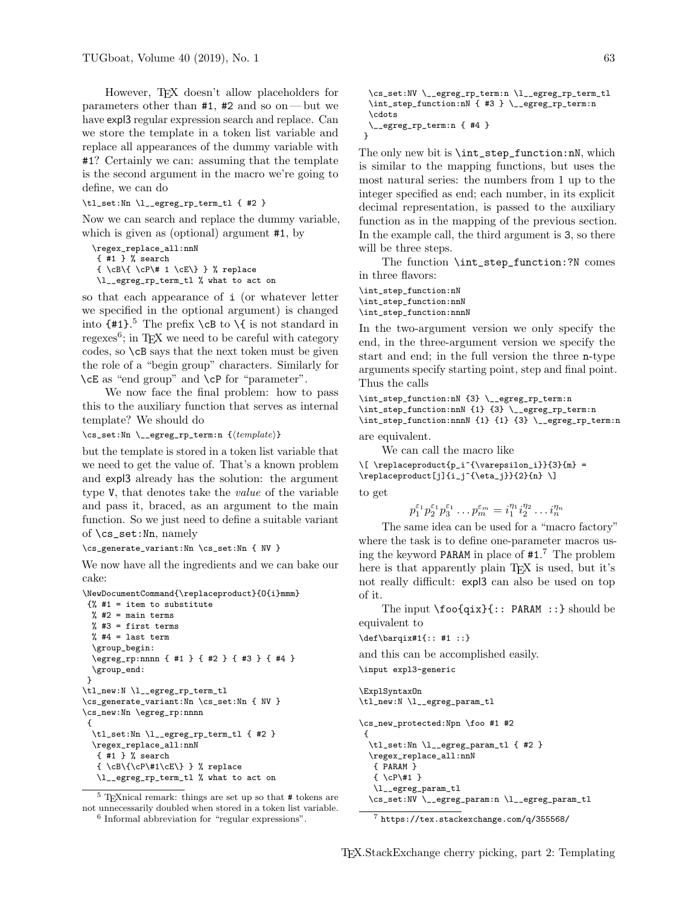However, T<sub>EX</sub> doesn't allow placeholders for parameters other than #1, #2 and so on— but we have expl3 regular expression search and replace. Can we store the template in a token list variable and replace all appearances of the dummy variable with #1? Certainly we can: assuming that the template is the second argument in the macro we're going to define, we can do

\tl\_set:Nn \l\_\_egreg\_rp\_term\_tl { #2 }

Now we can search and replace the dummy variable, which is given as (optional) argument #1, by

```
\regex_replace_all:nnN
{ #1 } % search
\{\ \cP\ | \cP\ 1 \cE\} } % replace
\l__egreg_rp_term_tl % what to act on
```
so that each appearance of i (or whatever letter we specified in the optional argument) is changed into  $\{\#1\}$ <sup>5</sup>. The prefix  $\c{B}$  to  $\{$  is not standard in regexes<sup>6</sup>; in T<sub>E</sub>X we need to be careful with category codes, so \cB says that the next token must be given the role of a "begin group" characters. Similarly for \cE as "end group" and \cP for "parameter".

We now face the final problem: how to pass this to the auxiliary function that serves as internal template? We should do

 $\csc$ \_set:Nn  $\_\egamma$ egreg\_rp\_term:n  ${\langle template \rangle}$ 

but the template is stored in a token list variable that we need to get the value of. That's a known problem and expl3 already has the solution: the argument type V, that denotes take the value of the variable and pass it, braced, as an argument to the main function. So we just need to define a suitable variant of \cs\_set:Nn, namely

\cs\_generate\_variant:Nn \cs\_set:Nn { NV }

We now have all the ingredients and we can bake our cake:

```
\NewDocumentCommand{\replaceproduct}{O{i}mmm}
\frac{1}{6} #1 = item to substitute
 % #2 = \text{main terms}% #3 = first terms
 % #4 = last term
 \group_begin:
 \egreg_rp:nnnn { #1 } { #2 } { #3 } { #4 }
  \group_end:
}
\tl_new:N \l__egreg_rp_term_tl
\cs_generate_variant:Nn \cs_set:Nn { NV }
\cs_new:Nn \egreg_rp:nnnn
 {
 \tl_set:Nn \l__egreg_rp_term_tl { #2 }
 \regex_replace_all:nnN
  { #1 } % search
   {\cB\C} \cB\{\cP\#1\cE\} } % replace
   \l__egreg_rp_term_tl % what to act on
```
 $^5$  TeXnical remark: things are set up so that  $\#$  tokens are not unnecessarily doubled when stored in a token list variable. 6 Informal abbreviation for "regular expressions".

```
\cs_set:NV \__egreg_rp_term:n \l__egreg_rp_term_tl
 \int_step_function:nN { #3 } \__egreg_rp_term:n
 \cdots
 \__egreg_rp_term:n { #4 }
}
```
The only new bit is \int\_step\_function:nN, which is similar to the mapping functions, but uses the most natural series: the numbers from 1 up to the integer specified as end; each number, in its explicit decimal representation, is passed to the auxiliary function as in the mapping of the previous section. In the example call, the third argument is 3, so there will be three steps.

The function \int\_step\_function:?N comes in three flavors:

\int\_step\_function:nN \int\_step\_function:nnN \int\_step\_function:nnnN

In the two-argument version we only specify the end, in the three-argument version we specify the start and end; in the full version the three n-type arguments specify starting point, step and final point. Thus the calls

\int\_step\_function:nN {3} \\_\_egreg\_rp\_term:n \int\_step\_function:nnN {1} {3} \\_\_egreg\_rp\_term:n \int\_step\_function:nnnN {1} {1} {3} \\_\_egreg\_rp\_term:n are equivalent.

We can call the macro like

 $\[\ \{\n\rangle : {\varepsilon_i}\$  {\varepsilon\_i}}{3}{m} =  $\verb|\replacement[j]{i_j^{\eta_j}}{2}_{n} \]\verb|$ to get

 $p_1^{\varepsilon_1} p_2^{\varepsilon_1} p_3^{\varepsilon_1} \dots p_m^{\varepsilon_m} = i_1^{\eta_1} i_2^{\eta_2} \dots i_n^{\eta_n}$ 

The same idea can be used for a "macro factory" where the task is to define one-parameter macros using the keyword PARAM in place of #1. <sup>7</sup> The problem here is that apparently plain T<sub>E</sub>X is used, but it's not really difficult: expl3 can also be used on top of it.

The input \foo{qix}{:: PARAM ::} should be equivalent to

\def\barqix#1{:: #1 ::}

and this can be accomplished easily. \input expl3-generic

```
\ExplSyntaxOn
\tl_new:N \l__egreg_param_tl
\cs_new_protected:Npn \foo #1 #2
 {
  \tl_set:Nn \l__egreg_param_tl { #2 }
  \regex_replace_all:nnN
  { PARAM }
   { \cP\#1 }
   \l__egreg_param_tl
  \cs_set:NV \__egreg_param:n \l__egreg_param_tl
```
<sup>7</sup> https://tex.stackexchange.com/q/355568/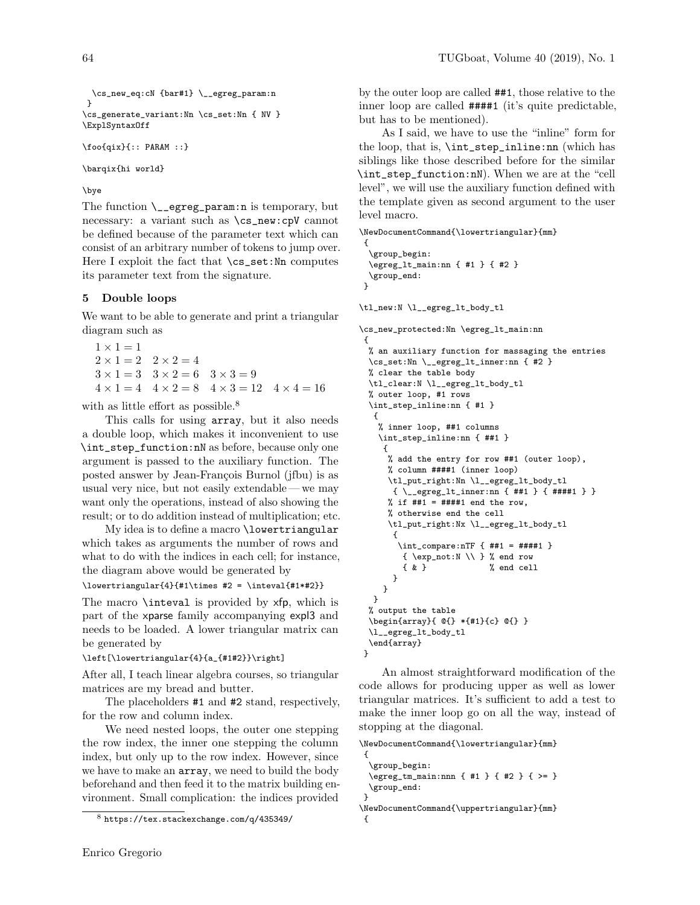```
\cs_new_eq:cN {bar#1} \__egreg_param:n
}
\cs_generate_variant:Nn \cs_set:Nn { NV }
\ExplSyntaxOff
```
\foo{qix}{:: PARAM ::}

\barqix{hi world}

# \bye

The function  $\mathcal{L}_\text{reg-param:n}$  is temporary, but necessary: a variant such as \cs\_new:cpV cannot be defined because of the parameter text which can consist of an arbitrary number of tokens to jump over. Here I exploit the fact that  $\cs{cs}\text{-set:}$  Nn computes its parameter text from the signature.

# 5 Double loops

We want to be able to generate and print a triangular diagram such as

```
1 \times 1 = 12 \times 1 = 2 \quad 2 \times 2 = 43 \times 1 = 3 3 \times 2 = 6 3 \times 3 = 94 \times 1 = 4 4 \times 2 = 8 4 \times 3 = 12 4 \times 4 = 16
```
with as little effort as possible.<sup>8</sup>

This calls for using array, but it also needs a double loop, which makes it inconvenient to use \int\_step\_function:nN as before, because only one argument is passed to the auxiliary function. The posted answer by Jean-François Burnol (jfbu) is as usual very nice, but not easily extendable — we may want only the operations, instead of also showing the result; or to do addition instead of multiplication; etc.

My idea is to define a macro \lowertriangular which takes as arguments the number of rows and what to do with the indices in each cell; for instance, the diagram above would be generated by

\lowertriangular{4}{#1\times #2 = \inteval{#1\*#2}}

The macro \inteval is provided by xfp, which is part of the xparse family accompanying expl3 and needs to be loaded. A lower triangular matrix can be generated by

\left[\lowertriangular{4}{a\_{#1#2}}\right]

After all, I teach linear algebra courses, so triangular matrices are my bread and butter.

The placeholders #1 and #2 stand, respectively, for the row and column index.

We need nested loops, the outer one stepping the row index, the inner one stepping the column index, but only up to the row index. However, since we have to make an array, we need to build the body beforehand and then feed it to the matrix building environment. Small complication: the indices provided

by the outer loop are called ##1, those relative to the inner loop are called ####1 (it's quite predictable, but has to be mentioned).

As I said, we have to use the "inline" form for the loop, that is, \int\_step\_inline:nn (which has siblings like those described before for the similar \int\_step\_function:nN). When we are at the "cell level", we will use the auxiliary function defined with the template given as second argument to the user level macro.

```
\NewDocumentCommand{\lowertriangular}{mm}
```

```
{
 \group_begin:
 \egreg_lt_main:nn { #1 } { #2 }
 \group_end:
\mathbf{r}
```
\tl\_new:N \l\_\_egreg\_lt\_body\_tl

\cs\_new\_protected:Nn \egreg\_lt\_main:nn { % an auxiliary function for massaging the entries \cs\_set:Nn \\_\_egreg\_lt\_inner:nn { #2 } % clear the table body \tl\_clear:N \l\_\_egreg\_lt\_body\_tl % outer loop, #1 rows \int\_step\_inline:nn { #1 } { % inner loop, ##1 columns \int\_step\_inline:nn { ##1 } { % add the entry for row ##1 (outer loop), % column ####1 (inner loop) \tl\_put\_right:Nn \l\_\_egreg\_lt\_body\_tl { \\_\_egreg\_lt\_inner:nn { ##1 } { ####1 } } % if  $\#41 = \#4441$  end the row, % otherwise end the cell \tl\_put\_right:Nx \l\_\_egreg\_lt\_body\_tl { \int\_compare:nTF { ##1 = ####1 }  $\{ \exp_not: N \setminus \}$  % end row { & } % end cell } } } % output the table \begin{array}{ @{} \*{#1}{c} @{} } \l\_\_egreg\_lt\_body\_tl \end{array} }

An almost straightforward modification of the code allows for producing upper as well as lower triangular matrices. It's sufficient to add a test to make the inner loop go on all the way, instead of stopping at the diagonal.

\NewDocumentCommand{\lowertriangular}{mm}

```
{
  \group_begin:
  \egreg_tm_main:nnn { #1 } { #2 } { >= }
  \group_end:
}
\NewDocumentCommand{\uppertriangular}{mm}
{
```
<sup>8</sup> https://tex.stackexchange.com/q/435349/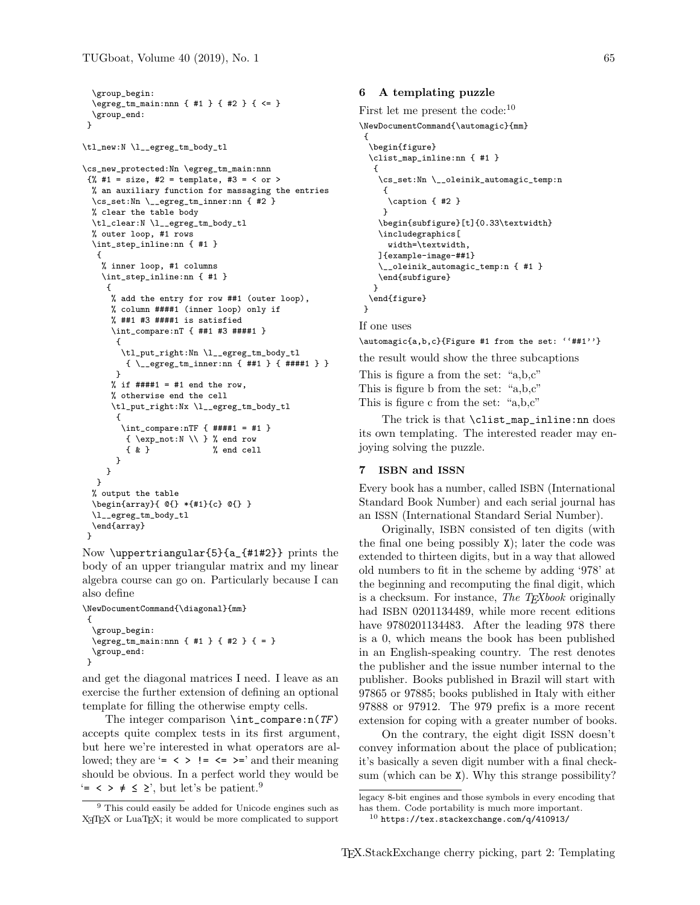```
\group_begin:
  \egreg_tm_main:nnn { #1 } { #2 } { <= }
  \group_end:
 }
\tl_new:N \l__egreg_tm_body_tl
\cs_new_protected:Nn \egreg_tm_main:nnn
{\frac{1}{6}} #1 = size, #2 = template, #3 = < or >
 % an auxiliary function for massaging the entries
  \cs_set:Nn \__egreg_tm_inner:nn { #2 }
  % clear the table body
  \tl_clear:N \l__egreg_tm_body_tl
  % outer loop, #1 rows
  \int_step_inline:nn { #1 }
   {
    % inner loop, #1 columns
    \int_step_inline:nn { #1 }
     {
      % add the entry for row ##1 (outer loop),
      % column ####1 (inner loop) only if
      % ##1 #3 ####1 is satisfied
      \int_compare:nT { ##1 #3 ####1 }
       {
        \tl_put_right:Nn \l__egreg_tm_body_tl
         { \__egreg_tm_inner:nn { ##1 } { ####1 } }
       }
      % if \# \# \# 1 = \# 1 end the row,
      % otherwise end the cell
      \tl_put_right:Nx \l__egreg_tm_body_tl
       {
        \int_compare:nTF { ####1 = #1 }
         { \exp_not:N \\ } % end row
         { & } % end cell
      }
    }
  }
  % output the table
  \begin{array}{ @{} *{#1}{c} @{} }
  \l__egreg_tm_body_tl
  \end{array}
}
```
Now \uppertriangular{5}{a\_{#1#2}} prints the body of an upper triangular matrix and my linear algebra course can go on. Particularly because I can also define

```
\NewDocumentCommand{\diagonal}{mm}
 {
  \group_begin:
  \egreg_tm_main:nnn { #1 } { #2 } { = }
  \group_end:
\mathbf{r}
```
and get the diagonal matrices I need. I leave as an exercise the further extension of defining an optional template for filling the otherwise empty cells.

The integer comparison  $\int \int \mathcal{F}$ accepts quite complex tests in its first argument, but here we're interested in what operators are allowed; they are '=  $\langle \rangle$  !=  $\langle = \rangle$  and their meaning should be obvious. In a perfect world they would be  $\epsilon$  =  $\epsilon$  >  $\neq$   $\leq$   $\geq$ ', but let's be patient.<sup>9</sup>

## 6 A templating puzzle

First let me present the code:<sup>10</sup>

\NewDocumentCommand{\automagic}{mm}

```
{
 \begin{figure}
 \clist_map_inline:nn { #1 }
  {
   \cs_set:Nn \__oleinik_automagic_temp:n
    {
     \caption { #2 }
    }
   \begin{subfigure}[t]{0.33\textwidth}
   \includegraphics[
     width=\textwidth,
   ]{example-image-##1}
   \__oleinik_automagic_temp:n { #1 }
   \end{subfigure}
  \mathbf{r}\end{figure}
}
```
If one uses

\automagic{a,b,c}{Figure #1 from the set: ''##1''}

the result would show the three subcaptions

This is figure a from the set: "a,b,c" This is figure b from the set: "a,b,c" This is figure c from the set: "a,b,c"

The trick is that \clist\_map\_inline:nn does its own templating. The interested reader may enjoying solving the puzzle.

## 7 ISBN and ISSN

Every book has a number, called ISBN (International Standard Book Number) and each serial journal has an ISSN (International Standard Serial Number).

Originally, ISBN consisted of ten digits (with the final one being possibly  $X$ ); later the code was extended to thirteen digits, but in a way that allowed old numbers to fit in the scheme by adding '978' at the beginning and recomputing the final digit, which is a checksum. For instance, The TEXbook originally had ISBN 0201134489, while more recent editions have  $9780201134483$ . After the leading 978 there is a 0, which means the book has been published in an English-speaking country. The rest denotes the publisher and the issue number internal to the publisher. Books published in Brazil will start with 97865 or 97885; books published in Italy with either 97888 or 97912. The 979 prefix is a more recent extension for coping with a greater number of books.

On the contrary, the eight digit ISSN doesn't convey information about the place of publication; it's basically a seven digit number with a final checksum (which can be X). Why this strange possibility?

<sup>&</sup>lt;sup>9</sup> This could easily be added for Unicode engines such as X<sub>T</sub>T<sub>E</sub>X or LuaT<sub>E</sub>X; it would be more complicated to support

legacy 8-bit engines and those symbols in every encoding that has them. Code portability is much more important.

 $^{10}$  https://tex.stackexchange.com/q/410913/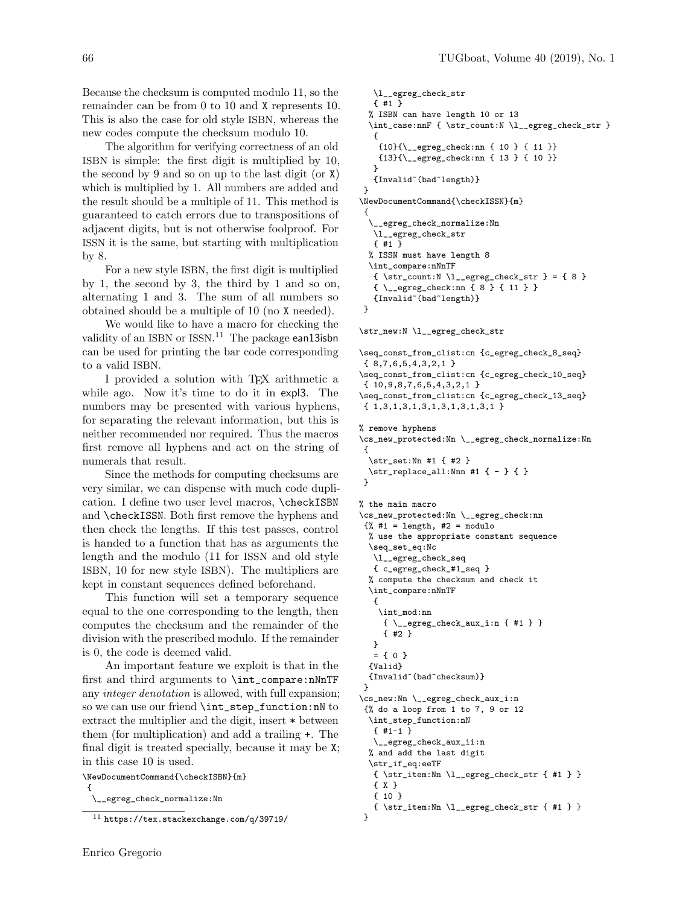Because the checksum is computed modulo 11, so the remainder can be from 0 to 10 and X represents 10. This is also the case for old style ISBN, whereas the new codes compute the checksum modulo 10.

The algorithm for verifying correctness of an old ISBN is simple: the first digit is multiplied by 10, the second by 9 and so on up to the last digit (or X) which is multiplied by 1. All numbers are added and the result should be a multiple of 11. This method is guaranteed to catch errors due to transpositions of adjacent digits, but is not otherwise foolproof. For ISSN it is the same, but starting with multiplication by 8.

For a new style ISBN, the first digit is multiplied by 1, the second by 3, the third by 1 and so on, alternating 1 and 3. The sum of all numbers so obtained should be a multiple of 10 (no X needed).

We would like to have a macro for checking the validity of an ISBN or ISSN.<sup>11</sup> The package ean13isbn can be used for printing the bar code corresponding to a valid ISBN.

I provided a solution with TEX arithmetic a while ago. Now it's time to do it in expl3. The numbers may be presented with various hyphens, for separating the relevant information, but this is neither recommended nor required. Thus the macros first remove all hyphens and act on the string of numerals that result.

Since the methods for computing checksums are very similar, we can dispense with much code duplication. I define two user level macros, \checkISBN and \checkISSN. Both first remove the hyphens and then check the lengths. If this test passes, control is handed to a function that has as arguments the length and the modulo (11 for ISSN and old style ISBN, 10 for new style ISBN). The multipliers are kept in constant sequences defined beforehand.

This function will set a temporary sequence equal to the one corresponding to the length, then computes the checksum and the remainder of the division with the prescribed modulo. If the remainder is 0, the code is deemed valid.

An important feature we exploit is that in the first and third arguments to \int\_compare:nNnTF any integer denotation is allowed, with full expansion; so we can use our friend \int\_step\_function:nN to extract the multiplier and the digit, insert \* between them (for multiplication) and add a trailing +. The final digit is treated specially, because it may be X; in this case 10 is used.

\NewDocumentCommand{\checkISBN}{m}

{ \\_\_egreg\_check\_normalize:Nn

```
\l__egreg_check_str
   { #1 }
  % ISBN can have length 10 or 13
  \int_case:nnF { \str_count:N \l__egreg_check_str }
   {
    {10}{\__egreg_check:nn { 10 } { 11 }}
    {13}{\__egreg_check:nn { 13 } { 10 }}
   }
   {Invalid~(bad~length)}
}
\NewDocumentCommand{\checkISSN}{m}
 {
  \__egreg_check_normalize:Nn
   \l__egreg_check_str
   { #1 }
  % ISSN must have length 8
  \int_compare:nNnTF
   \{ \strut \text{count: N} \lucceq_{erg\_check\_str} = \{ 8 \}{ \__egreg_check:nn { 8 } { 11 } }
   {Invalid~(bad~length)}
}
\str_new:N \l__egreg_check_str
\seq_const_from_clist:cn {c_egreg_check_8_seq}
{ 8,7,6,5,4,3,2,1 }
\seq_const_from_clist:cn {c_egreg_check_10_seq}
 { 10,9,8,7,6,5,4,3,2,1 }
\seq_const_from_clist:cn {c_egreg_check_13_seq}
 { 1,3,1,3,1,3,1,3,1,3,1,3,1 }
% remove hyphens
\cs_new_protected:Nn \__egreg_check_normalize:Nn
 {
  \str_set:Nn #1 { #2 }
  \str_replace_all:Nnn #1 { - } { }
 }
% the main macro
\cs_new_protected:Nn \__egreg_check:nn
 \frac{1}{6} #1 = length, #2 = modulo
  % use the appropriate constant sequence
  \seq_set_eq:Nc
   \l__egreg_check_seq
   { c_egreg_check_#1_seq }
  % compute the checksum and check it
  \int_compare:nNnTF
   {
    \int_mod:nn
     { \__egreg_check_aux_i:n { #1 } }
     { #2 }
   }
  = { 0 }
  {Valid}
  {Invalid~(bad~checksum)}
}
\cs_new:Nn \__egreg_check_aux_i:n
 {% do a loop from 1 to 7, 9 or 12
  \int_step_function:nN
   {+1-1}\__egreg_check_aux_ii:n
  % and add the last digit
  \str_if_eq:eeTF
  { \str_item:Nn \l__egreg_check_str { #1 } }
  { X }
```

```
{ 10 }
 { \str_item:Nn \l__egreg_check_str { #1 } }
}
```
<sup>11</sup> https://tex.stackexchange.com/q/39719/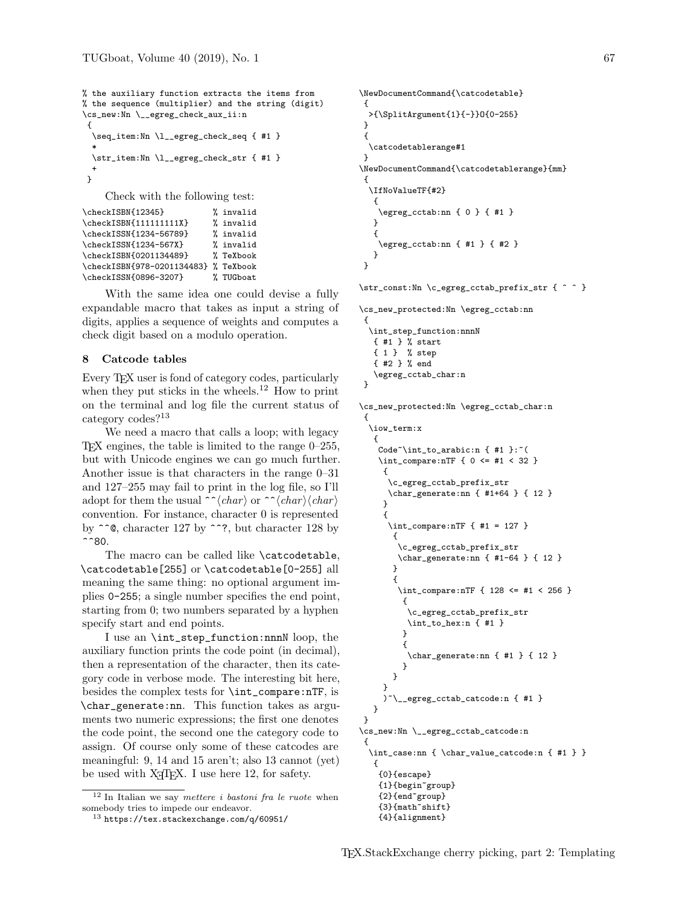```
% the auxiliary function extracts the items from
% the sequence (multiplier) and the string (digit)
\cs_new:Nn \__egreg_check_aux_ii:n
 {
  \seq_item:Nn \l__egreg_check_seq { #1 }
  *
  \str_item:Nn \l__egreg_check_str { #1 }
  +
}
```
Check with the following test:

```
\checkISBN{12345} % invalid
\checkISBN{111111111X} % invalid<br>\checkISSN{1234-56789} % invalid
\checkISSN{1234-56789} % invalid<br>\checkISSN{1234-567X} % invalid
\left\{1234-567X\right\}\checkISBN{0201134489} % TeXbook
\checkISBN{978-0201134483} % TeXbook
\checkISSN{0896-3207} % TUGboat
```
With the same idea one could devise a fully expandable macro that takes as input a string of digits, applies a sequence of weights and computes a check digit based on a modulo operation.

# 8 Catcode tables

Every TEX user is fond of category codes, particularly when they put sticks in the wheels.<sup>12</sup> How to print on the terminal and log file the current status of category codes?<sup>13</sup>

We need a macro that calls a loop; with legacy T<sub>EX</sub> engines, the table is limited to the range  $0-255$ , but with Unicode engines we can go much further. Another issue is that characters in the range 0–31 and 127–255 may fail to print in the log file, so I'll adopt for them the usual  $\hat{\ }$  (*char*) or  $\hat{\ }$  (*char*)  $\langle char \rangle$ convention. For instance, character 0 is represented by  $\hat{\ }$  e, character 127 by  $\hat{\ }$ ?, but character 128 by  $^{\sim}80.$ 

The macro can be called like **\catcodetable**. \catcodetable[255] or \catcodetable[0-255] all meaning the same thing: no optional argument implies 0-255; a single number specifies the end point, starting from 0; two numbers separated by a hyphen specify start and end points.

I use an \int\_step\_function:nnnN loop, the auxiliary function prints the code point (in decimal), then a representation of the character, then its category code in verbose mode. The interesting bit here, besides the complex tests for \int\_compare:nTF, is \char\_generate:nn. This function takes as arguments two numeric expressions; the first one denotes the code point, the second one the category code to assign. Of course only some of these catcodes are meaningful: 9, 14 and 15 aren't; also 13 cannot (yet) be used with X<sub>T</sub>T<sub>F</sub>X. I use here 12, for safety.

```
\NewDocumentCommand{\catcodetable}
{
  >{\SplitArgument{1}{-}}O{0-255}
}
{
  \catcodetablerange#1
}
\NewDocumentCommand{\catcodetablerange}{mm}
 {
  \IfNoValueTF{#2}
   {
    \egreg_cctab:nn { 0 } { #1 }
   }
   {
    \egreg_cctab:nn { #1 } { #2 }
  }
}
```

```
\str_const:Nn \c_egreg_cctab_prefix_str { ^ ^ }
```

```
\cs_new_protected:Nn \egreg_cctab:nn
{
  \int_step_function:nnnN
  { #1 } % start
  { 1 } % step
  { #2 } % end
   \egreg_cctab_char:n
 }
\cs_new_protected:Nn \egreg_cctab_char:n
```
{

```
\iow_term:x
   {
   Code^{\prime}int_to_arabic:n { #1 }:~(
   \int_compare:nTF { 0 <= #1 < 32 }
     {
      \c_egreg_cctab_prefix_str
      \char_generate:nn { #1+64 } { 12 }
     }
     {
      \int_compare:nTF { #1 = 127 }
       {
        \c_egreg_cctab_prefix_str
        \char_generate:nn { #1-64 } { 12 }
       }
       {
        \int_compare:nTF { 128 <= #1 < 256 }
         {
          \c_egreg_cctab_prefix_str
          \int_to_hex:n { #1 }
         }
         {
          \char_generate:nn { #1 } { 12 }
         }
       }
     }
       )~\__egreg_cctab_catcode:n { #1 }
   }
}
\cs_new:Nn \__egreg_cctab_catcode:n
{
  \int_case:nn { \char_value_catcode:n { #1 } }
   {
   {0}{escape}
   {1}{begin~group}
    {2}{end~group}
    {3}{math~shift}
```

```
{4}{alignment}
```
 $12$  In Italian we say *mettere i bastoni fra le ruote* when somebody tries to impede our endeavor.

<sup>13</sup> https://tex.stackexchange.com/q/60951/